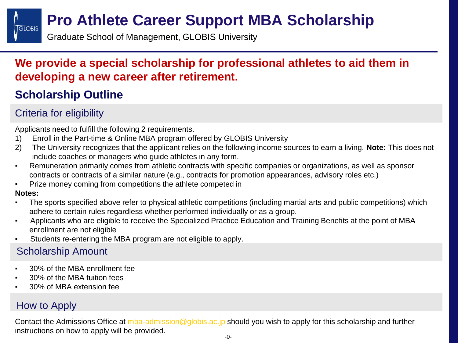# **Pro Athlete Career Support MBA Scholarship**

Graduate School of Management, GLOBIS University

## **We provide a special scholarship for professional athletes to aid them in developing a new career after retirement.**

# **Scholarship Outline**

## Criteria for eligibility

Applicants need to fulfill the following 2 requirements.

- 1) Enroll in the Part-time & Online MBA program offered by GLOBIS University
- 2) The University recognizes that the applicant relies on the following income sources to earn a living. **Note:** This does not include coaches or managers who guide athletes in any form.
- Remuneration primarily comes from athletic contracts with specific companies or organizations, as well as sponsor contracts or contracts of a similar nature (e.g., contracts for promotion appearances, advisory roles etc.)
- Prize money coming from competitions the athlete competed in

#### **Notes:**

**GLOBIS** 

- The sports specified above refer to physical athletic competitions (including martial arts and public competitions) which adhere to certain rules regardless whether performed individually or as a group.
- Applicants who are eligible to receive the Specialized Practice Education and Training Benefits at the point of MBA enrollment are not eligible
- Students re-entering the MBA program are not eligible to apply.

### Scholarship Amount

- 30% of the MBA enrollment fee
- 30% of the MBA tuition fees
- 30% of MBA extension fee

### How to Apply

Contact the Admissions Office at [mba-admission@globis.ac.jp](mailto:mba-admission@globis.ac.jp) should you wish to apply for this scholarship and further instructions on how to apply will be provided.